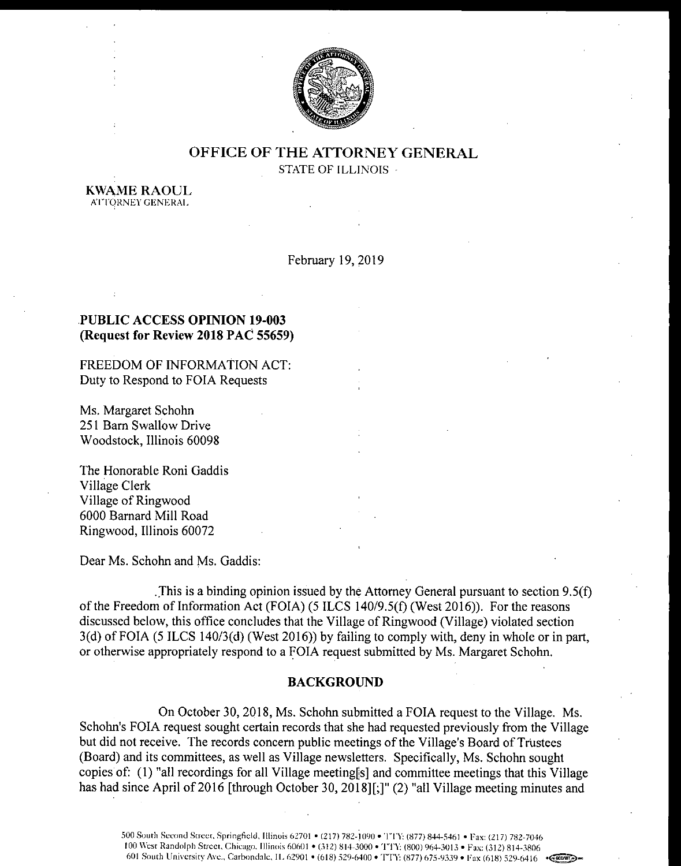

# OFFICE OF THE ATTORNEY GENERAL STATE OF ILLINOIS

KWAME RAOUL ATTORNEY GENERAI.

February 19, 2019

# PUBLIC ACCESS OPINION 19-003 Request for Review 2018 PAC 55659)

FREEDOM OF INFORMATION ACT: Duty to Respond to FOIA Requests

Ms. Margaret Schohn 251 Barn Swallow Drive Woodstock, Illinois 60098

The Honorable Roni Gaddis Village Clerk Village of Ringwood 6000 Barnard Mill Road Ringwood, Illinois 60072

Dear Ms. Schohn and Ms. Gaddis:

This is a binding opinion issued by the Attorney General pursuant to section  $9.5(f)$ of the Freedom of Information Act (FOIA) (5 ILCS 140/9.5(f) (West 2016)). For the reasons discussed below, this office concludes that the Village of Ringwood ( Village) violated section  $3(d)$  of FOIA (5 ILCS 140/ $3(d)$  (West 2016)) by failing to comply with, deny in whole or in part, or otherwise appropriately respond to a FOIA request submitted by Ms. Margaret Schohn.

#### BACKGROUND

On October 30, 2018, Ms. Schohn submitted a FOIA request to the Village. Ms. Schohn's FOIA request sought certain records that she had requested previously from the Village but did not receive. The records concern public meetings of the Village's Board of Trustees Board) and its committees, as well as Village newsletters. Specifically, Ms. Schohn sought copies of: (1) "all recordings for all Village meeting[s] and committee meetings that this Village has had since April of 2016 [through October 30, 2018][;]" (2) "all Village meeting minutes and

500 South Second Street. Springfield, Illinois 62701 • ( 217) 782- 1090 • TTY: ( 877) 844- 5461 • Fax: ( 217) 782- 7046 100 West Randolph Street, Chicago. Illinois 60601 • (312) 814-3000 • TTY: (800) 964-3013 • Fax: (312) 814-3806 601 South University Ave., Carbondale, IL 62901 • (618) 529-6400 • TTY: (877) 675-9339 • Fax (618) 529-6416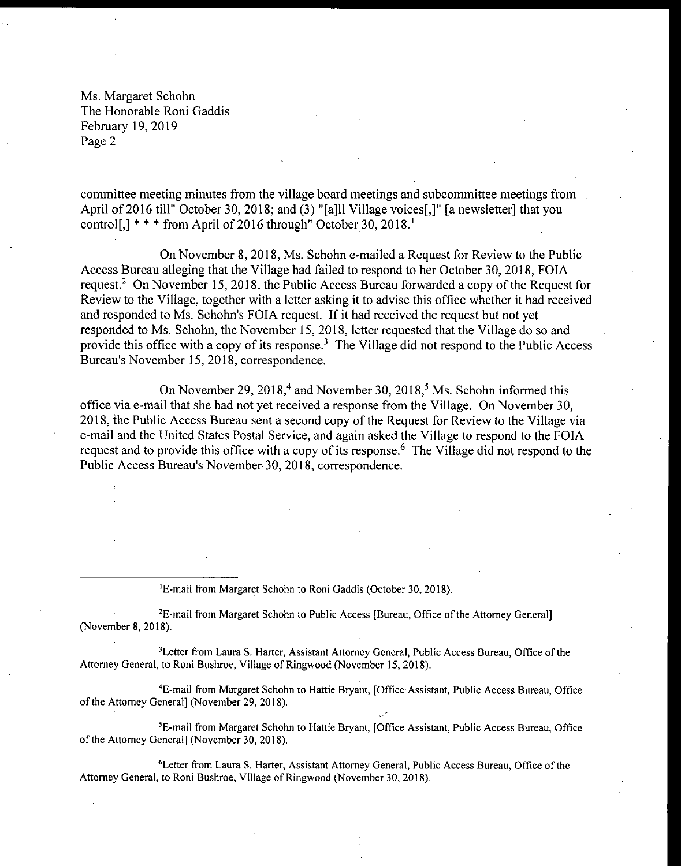committee meeting minutes from the village board meetings and subcommittee meetings from April of 2016 till" October 30, 2018; and (3) "[a]ll Village voices[,]" [a newsletter] that you control<sup>[,]</sup> \* \* \* from April of 2016 through" October 30, 2018.<sup>1</sup>

On November 8, 2018, Ms. Schohn e- mailed a Request for Review to the Public Access Bureau alleging that the Village had failed to respond to her October 30, 2018, FOIA request.<sup>2</sup> On November 15, 2018, the Public Access Bureau forwarded a copy of the Request for Review to the Village, together with <sup>a</sup> letter asking it to advise this office whether it had received and responded to Ms. Schohn's FOIA request. If it had received the request but not yet responded to Ms. Schohn, the November 15, 2018, letter requested that the Village do so and provide this office with a copy of its response? The Village did not respond to the Public Access Bureau's November 15, 2018, correspondence.

On November 29, 2018,<sup>4</sup> and November 30, 2018,<sup>5</sup> Ms. Schohn informed this office via e-mail that she had not yet received a response from the Village. On November 30, 2018, the Public Access Bureau sent a second copy of the Request for Review to the Village via e- mail and the United States Postal Service, and again asked the Village to respond to the FOIA request and to provide this office with a copy of its response. <sup>6</sup> The Village did not respond to the Public Access Bureau's November 30, 2018, correspondence.

<sup>1</sup>E-mail from Margaret Schohn to Roni Gaddis (October 30, 2018).

<sup>2</sup>E-mail from Margaret Schohn to Public Access [Bureau, Office of the Attorney General] November 8, 2018).

<sup>3</sup>Letter from Laura S. Harter, Assistant Attorney General, Public Access Bureau, Office of the Attorney General, to Roni Bushroe, Village of Ringwood (November 15, 2018).

4E -mail from Margaret Schohn to Hattie Bryant, [ Office Assistant, Public Access Bureau, Office of the Attorney General] ( November 29, 2018).

<sup>5</sup>E-mail from Margaret Schohn to Hattie Bryant, [Office Assistant, Public Access Bureau, Office of the Attorney General] (November 30, 2018).

<sup>6</sup> Letter from Laura S. Harter, Assistant Attorney General, Public Access Bureau, Office of the Attorney General, to Roni Bushroe, Village of Ringwood (November 30, 2018).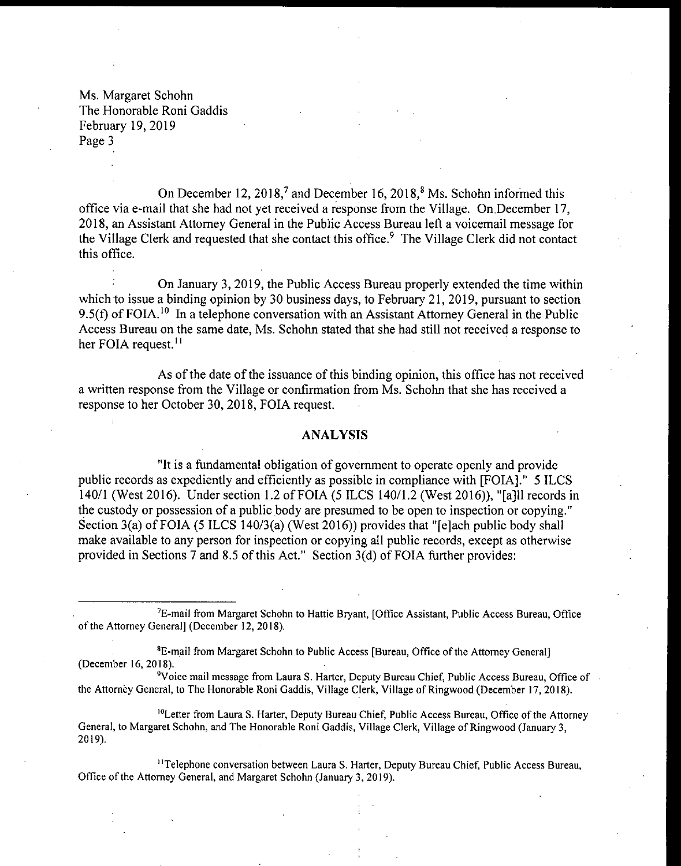On December 12,  $2018<sup>7</sup>$  and December 16,  $2018<sup>8</sup>$  Ms. Schohn informed this office via e- mail that she had not yet received a response from the Village. On December 17, 2018, an Assistant Attorney General in the Public Access Bureau left a voicemail message for the Village Clerk and requested that she contact this office. <sup>9</sup> The Village Clerk did not contact this office.

On January 3, 2019, the Public Access Bureau properly extended the time within which to issue a binding opinion by 30 business days, to February 21, 2019, pursuant to section 9.5(f) of FOIA.<sup>10</sup> In a telephone conversation with an Assistant Attorney General in the Publi Access Bureau on the same date, Ms. Schohn stated that she had still not received a response to her FOIA request.<sup>11</sup>

As of the date of the issuance of this binding opinion, this office has not received a written response from the Village or confirmation from Ms. Schohn that she has received a response to her October 30, 2018, FOIA request.

## ANALYSIS

"It is a fundamental obligation of government to operate openly and provide public records as expediently and efficiently as possible in compliance with [ FOIA]." 5 ILCS 140/1 (West 2016). Under section 1.2 of FOIA (5 ILCS 140/1.2 (West 2016)), "[a] ll records in the custody or possession of a public body are presumed to be open to inspection or copying." Section 3(a) of FOIA (5 ILCS 140/3(a) (West 2016)) provides that " $[$ e $]$ ach public body shall make available to any person for inspection or copying all public records, except as otherwise provided in Sections 7 and 8.5 of this Act." Section  $3(d)$  of FOIA further provides:

<sup>7</sup>E-mail from Margaret Schohn to Hattie Bryant, [Office Assistant, Public Access Bureau, Office of the Attorney General] ( December 12, 2018).

<sup>8</sup>E-mail from Margaret Schohn to Public Access [Bureau, Office of the Attorney General] December 16, 2018).

<sup>9</sup>Voice mail message from Laura S. Harter, Deputy Bureau Chief, Public Access Bureau, Office of the Attorney General, to The Honorable Roni Gaddis, Village Clerk, Village of Ringwood (December 17, 2018).

<sup>10</sup>Letter from Laura S. Harter, Deputy Bureau Chief, Public Access Bureau, Office of the Attorney General, to Margaret Schohn, and The Honorable Roni Gaddis, Village Clerk, Village of Ringwood (January 3, 2019).

<sup>11</sup>Telephone conversation between Laura S. Harter, Deputy Bureau Chief, Public Access Bureau, Office of the Attorney General, and Margaret Schohn (January 3, 2019).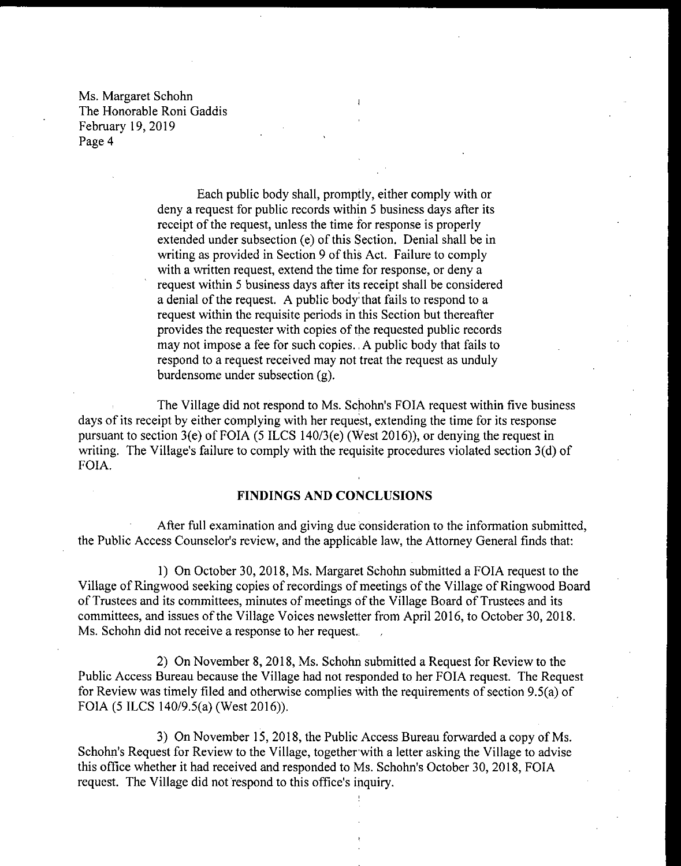> Each public body shall, promptly, either comply with or deny a request for public records within <sup>5</sup> business days after its receipt of the request, unless the time for response is properly extended under subsection (e) of this Section. Denial shall be in writing as provided in Section <sup>9</sup> of this Act. Failure to comply with a written request, extend the time for response, or deny a request within <sup>5</sup> business days after its receipt shall be considered <sup>a</sup> denial of the request. A public body that fails to respond to <sup>a</sup> request within the requisite periods in this Section but thereafter provides the requester with copies of the requested public records may not impose a fee for such copies. A public body that fails to respond to a request received may not treat the request as unduly burdensome under subsection (g).

The Village did not respond to Ms. Schohn's FOIA request within five business days of its receipt by either complying with her request, extending the time for its response pursuant to section 3(e) of FOIA (5 ILCS 140/3(e) (West 2016)), or denying the request in writing. The Village's failure to comply with the requisite procedures violated section  $3(d)$  of FOIA.

#### FINDINGS AND CONCLUSIONS

After full examination and giving due consideration to the information submitted, the Public Access Counselor's review, and the applicable law, the Attorney General finds that:

1) On October 30, 2018, Ms. Margaret Schohn submitted a FOIA request to the Village of Ringwood seeking copies of recordings of meetings of the Village of Ringwood Board of Trustees and its committees, minutes of meetings of the Village Board of Trustees and its committees, and issues of the Village Voices newsletter from April 2016, to October 30, 2018. Ms. Schohn did not receive a response to her request.

2) On November 8, 2018, Ms. Schohn submitted a Request for Review to the Public Access Bureau because the Village had not responded to her FOIA request. The Request for Review was timely filed and otherwise complies with the requirements of section 9.5(a) of FOIA (5 ILCS 140/9.5(a) (West 2016)).

3) On November 15, 2018, the Public Access Bureau forwarded <sup>a</sup> copy of Ms. Schohn's Request for Review to the Village, together with a letter asking the Village to advise this office whether it had received and responded to Ms. Schohn's October 30, 2018, FOIA request. The Village did not respond to this office's inquiry.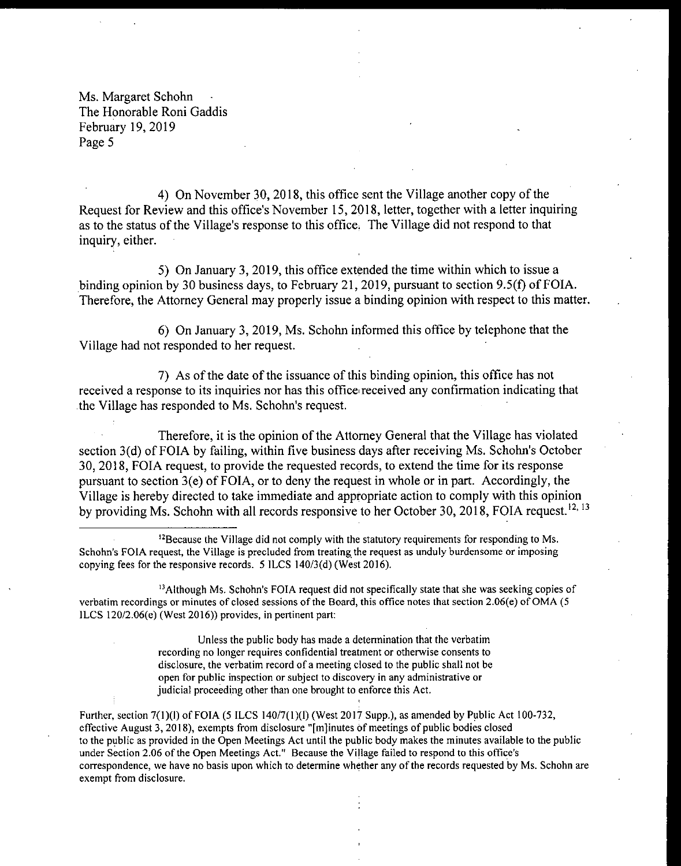4) On November 30, 2018, this office sent the Village another copy of the Request for Review and this office's November 15, 2018, letter, together with a letter inquiring as to the status of the Village's response to this office. The Village did not respond to that inquiry, either.

5) On January 3, 2019, this office extended the time within which to issue a binding opinion by 30 business days, to February 21, 2019, pursuant to section 9.5(f) of FOIA. Therefore, the Attorney General may properly issue a binding opinion with respect to this matter.

6) On January 3, 2019, Ms. Schohn informed this office by telephone that the Village had not responded to her request.

7) As of the date of the issuance of this binding opinion, this office has not received a response to its inquiries nor has this office received any confirmation indicating that the Village has responded to Ms. Schohn's request.

Therefore, it is the opinion of the Attorney General that the Village has violated section 3(d) of FOIA by failing, within five business days after receiving Ms. Schohn's October 30, 2018, FOIA request, to provide the requested records, to extend the time for its response pursuant to section  $3(e)$  of FOIA, or to deny the request in whole or in part. Accordingly, the Village is hereby directed to take immediate and appropriate action to comply with this opinion by providing Ms. Schohn with all records responsive to her October 30, 2018, FOIA request.<sup>12, 13</sup>

 $<sup>13</sup>$ Although Ms. Schohn's FOIA request did not specifically state that she was seeking copies of</sup> verbatim recordings or minutes of closed sessions of the Board, this office notes that section 2.06(e) of OMA (5 ILCS  $120/2.06(e)$  (West  $2016$ )) provides, in pertinent part:

> Unless the public body has made <sup>a</sup> determination that the verbatim recording no longer requires confidential treatment or otherwise consents to disclosure, the verbatim record of <sup>a</sup> meeting closed to the public shall not be open for public inspection or subject to discovery in any administrative or judicial proceeding other than one brought to enforce this Act.

Further, section  $7(1)(1)$  of FOIA (5 ILCS 140/7(1)(1) (West 2017 Supp.), as amended by Public Act 100-732, effective August 3, 2018), exempts from disclosure "[ m] inutes of meetings of public bodies closed to the public as provided in the Open Meetings Act until the public body makes the minutes available to the public under Section 2.06 of the Open Meetings Act." Because the Village failed to respond to this office's correspondence, we have no basis upon which to determine whether any of the records requested by Ms. Schohn are exempt from disclosure.

<sup>&</sup>lt;sup>12</sup> Because the Village did not comply with the statutory requirements for responding to Ms. Schohn's FOIA request, the Village is precluded from treating the request as unduly burdensome or imposing copying fees for the responsive records.  $5$  ILCS 140/3(d) (West 2016).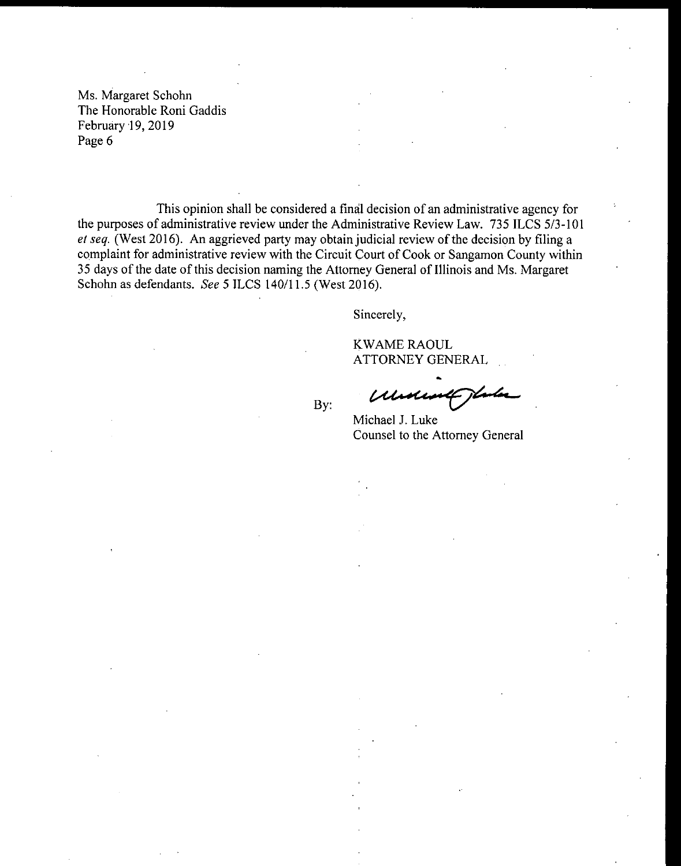This opinion shall be considered a final decision of an administrative agency for the purposes of administrative review under the Administrative Review Law. 735 ILCS 5/3-101 et seq. ( West 2016). An aggrieved party may obtain judicial review of the decision by filing <sup>a</sup> complaint for administrative review with the Circuit Court of Cook or Sangamon County within 35 days of the date of this decision naming the Attorney General of Illinois and Ms. Margaret Schohn as defendants. See 5 ILCS 140/11.5 (West 2016).

By:

Sincerely,

KWAME RAOUL ATTORNEY GENERAL

Michael J. Luke Counsel to the Attorney General